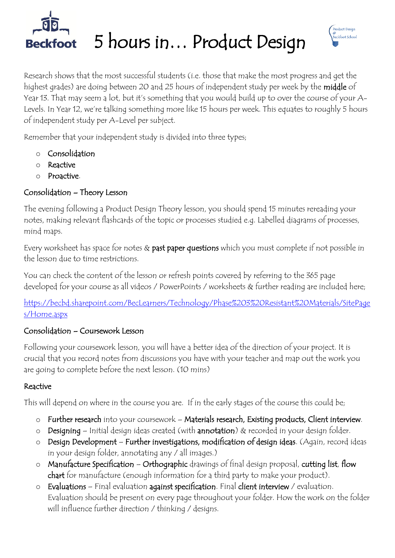

Beckfoot 5 hours in... Product Design



Research shows that the most successful students (i.e. those that make the most progress and get the highest grades) are doing between 20 and 25 hours of independent study per week by the middle of Year 13. That may seem a lot, but it's something that you would build up to over the course of your A-Levels. In Year 12, we're talking something more like 15 hours per week. This equates to roughly 5 hours of independent study per A-Level per subject.

Remember that your independent study is divided into three types;

- o Consolidation
- o Reactive
- o Proactive.

### Consolidation – Theory Lesson

The evening following a Product Design Theory lesson, you should spend 15 minutes rereading your notes, making relevant flashcards of the topic or processes studied e.g. Labelled diagrams of processes, mind maps.

Every worksheet has space for notes & past paper questions which you must complete if not possible in the lesson due to time restrictions.

You can check the content of the lesson or refresh points covered by referring to the 365 page developed for your course as all videos / PowerPoints / worksheets & further reading are included here;

[https://becbd.sharepoint.com/BecLearners/Technology/Phase%203%20Resistant%20Materials/SitePage](https://becbd.sharepoint.com/BecLearners/Technology/Phase%203%20Resistant%20Materials/SitePages/Home.aspx) [s/Home.aspx](https://becbd.sharepoint.com/BecLearners/Technology/Phase%203%20Resistant%20Materials/SitePages/Home.aspx)

#### Consolidation – Coursework Lesson

Following your coursework lesson, you will have a better idea of the direction of your project. It is crucial that you record notes from discussions you have with your teacher and map out the work you are going to complete before the next lesson. (10 mins)

#### Reactive

This will depend on where in the course you are. If in the early stages of the course this could be;

- o Further research into your coursework Materials research, Existing products, Client interview.
- o Designing Initial design ideas created (with annotation) & recorded in your design folder.
- o Design Development Further investigations, modification of design ideas. (Again, record ideas in your design folder, annotating any / all images.)
- o Manufacture Specification Orthographic drawings of final design proposal, cutting list, flow chart for manufacture (enough information for a third party to make your product).
- o Evaluations Final evaluation against specification. Final client interview / evaluation. Evaluation should be present on every page throughout your folder. How the work on the folder will influence further direction / thinking / designs.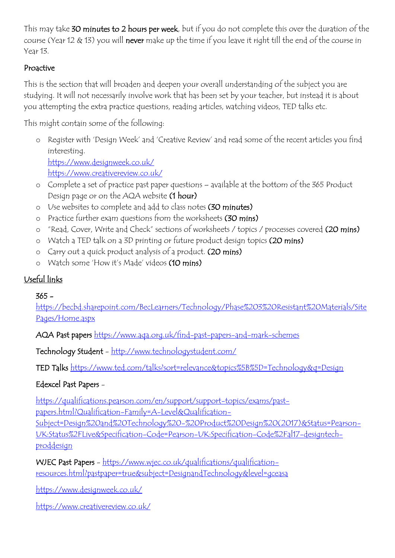This may take 30 minutes to 2 hours per week, but if you do not complete this over the duration of the course (Year 12 & 13) you will never make up the time if you leave it right till the end of the course in Year 13.

#### Proactive

This is the section that will broaden and deepen your overall understanding of the subject you are studying. It will not necessarily involve work that has been set by your teacher, but instead it is about you attempting the extra practice questions, reading articles, watching videos, TED talks etc.

This might contain some of the following:

- o Register with 'Design Week' and 'Creative Review' and read some of the recent articles you find interesting. <https://www.designweek.co.uk/> <https://www.creativereview.co.uk/>
- o Complete a set of practice past paper questions available at the bottom of the 365 Product Design page or on the AQA website (1 hour)
- o Use websites to complete and add to class notes (30 minutes)
- o Practice further exam questions from the worksheets (30 mins)
- o "Read, Cover, Write and Check" sections of worksheets / topics / processes covered (20 mins)
- o Watch a TED talk on a 3D printing or future product design topics (20 mins)
- o Carry out a quick product analysis of a product. (20 mins)
- o Watch some 'How it's Made' videos (10 mins)

#### Useful links

#### 365 -

[https://becbd.sharepoint.com/BecLearners/Technology/Phase%203%20Resistant%20Materials/Site](https://becbd.sharepoint.com/BecLearners/Technology/Phase%203%20Resistant%20Materials/SitePages/Home.aspx) [Pages/Home.aspx](https://becbd.sharepoint.com/BecLearners/Technology/Phase%203%20Resistant%20Materials/SitePages/Home.aspx)

AQA Past papers <https://www.aqa.org.uk/find-past-papers-and-mark-schemes>

Technology Student - <http://www.technologystudent.com/>

TED Talks <https://www.ted.com/talks?sort=relevance&topics%5B%5D=Technology&q=Design>

#### Edexcel Past Papers -

[https://qualifications.pearson.com/en/support/support-topics/exams/past-](https://qualifications.pearson.com/en/support/support-topics/exams/past-papers.html?Qualification-Family=A-Level&Qualification-Subject=Design%20and%20Technology%20-%20Product%20Design%20(2017)&Status=Pearson-UK:Status%2FLive&Specification-Code=Pearson-UK:Specification-Code%2Fal17-designtech-proddesign)

[papers.html?Qualification-Family=A-Level&Qualification-](https://qualifications.pearson.com/en/support/support-topics/exams/past-papers.html?Qualification-Family=A-Level&Qualification-Subject=Design%20and%20Technology%20-%20Product%20Design%20(2017)&Status=Pearson-UK:Status%2FLive&Specification-Code=Pearson-UK:Specification-Code%2Fal17-designtech-proddesign)

[Subject=Design%20and%20Technology%20-%20Product%20Design%20\(2017\)&Status=Pearson-](https://qualifications.pearson.com/en/support/support-topics/exams/past-papers.html?Qualification-Family=A-Level&Qualification-Subject=Design%20and%20Technology%20-%20Product%20Design%20(2017)&Status=Pearson-UK:Status%2FLive&Specification-Code=Pearson-UK:Specification-Code%2Fal17-designtech-proddesign)[UK:Status%2FLive&Specification-Code=Pearson-UK:Specification-Code%2Fal17-designtech](https://qualifications.pearson.com/en/support/support-topics/exams/past-papers.html?Qualification-Family=A-Level&Qualification-Subject=Design%20and%20Technology%20-%20Product%20Design%20(2017)&Status=Pearson-UK:Status%2FLive&Specification-Code=Pearson-UK:Specification-Code%2Fal17-designtech-proddesign)[proddesign](https://qualifications.pearson.com/en/support/support-topics/exams/past-papers.html?Qualification-Family=A-Level&Qualification-Subject=Design%20and%20Technology%20-%20Product%20Design%20(2017)&Status=Pearson-UK:Status%2FLive&Specification-Code=Pearson-UK:Specification-Code%2Fal17-designtech-proddesign)

WJEC Past Papers - [https://www.wjec.co.uk/qualifications/qualification](https://www.wjec.co.uk/qualifications/qualification-resources.html?pastpaper=true&subject=DesignandTechnology&level=gceasa)[resources.html?pastpaper=true&subject=DesignandTechnology&level=gceasa](https://www.wjec.co.uk/qualifications/qualification-resources.html?pastpaper=true&subject=DesignandTechnology&level=gceasa)

<https://www.designweek.co.uk/>

<https://www.creativereview.co.uk/>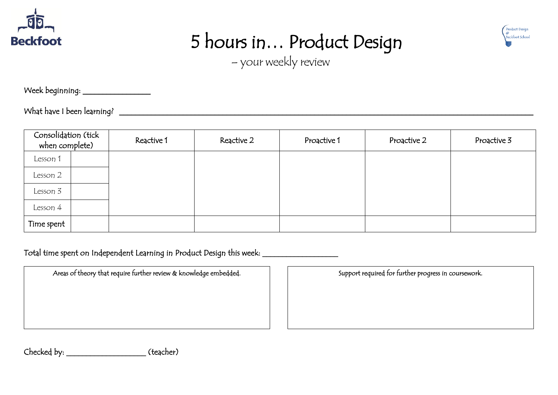

 $\overline{\phantom{a}}$ 

 $\overline{\phantom{a}}$ 

 $\overline{\phantom{a}}$ 

 $\overline{\phantom{a}}$ 

## 5 hours in… Product Design



– your weekly review

Week beginning: \_\_\_\_\_\_\_\_\_\_\_\_\_\_\_\_\_\_\_\_\_

What have I been learning? \_\_\_\_\_\_\_\_\_\_\_\_\_\_\_\_\_\_\_\_\_\_\_\_\_\_\_\_\_\_\_\_\_\_\_\_\_\_\_\_\_\_\_\_\_\_\_\_\_\_\_\_\_\_\_\_\_\_\_\_\_\_\_\_\_\_\_\_\_\_\_\_\_\_\_\_\_\_\_\_\_\_\_\_\_\_\_\_\_\_\_\_\_\_\_\_\_\_\_\_\_\_\_\_

| Consolidation (tick<br>when complete) |  | Reactive 1 | Reactive 2 | Proactive 1 | Proactive 2 | Proactive 3 |
|---------------------------------------|--|------------|------------|-------------|-------------|-------------|
| Lesson 1                              |  |            |            |             |             |             |
| Lesson 2                              |  |            |            |             |             |             |
| Lesson 3                              |  |            |            |             |             |             |
| Lesson 4                              |  |            |            |             |             |             |
| Time spent                            |  |            |            |             |             |             |

Total time spent on Independent Learning in Product Design this week: \_\_\_\_\_\_\_\_\_\_\_\_\_\_\_\_\_

Areas of theory that require further review & knowledge embedded. Support required for further progress in coursework.

Checked by: \_\_\_\_\_\_\_\_\_\_\_\_\_\_\_\_\_\_\_\_ (teacher)